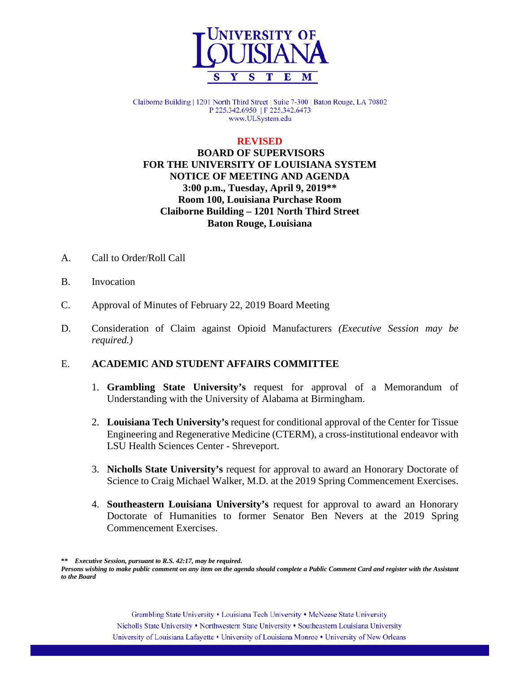

Claiborne Building | 1201 North Third Street | Suite 7-300 | Baton Rouge, LA 70802 P 225.342.6950 | F 225.342.6473 www.ULSystem.edu

#### **REVISED**

# **BOARD OF SUPERVISORS FOR THE UNIVERSITY OF LOUISIANA SYSTEM NOTICE OF MEETING AND AGENDA 3:00 p.m., Tuesday, April 9, 2019\*\* Room 100, Louisiana Purchase Room Claiborne Building – 1201 North Third Street Baton Rouge, Louisiana**

- A. Call to Order/Roll Call
- B. Invocation
- C. Approval of Minutes of February 22, 2019 Board Meeting
- D. Consideration of Claim against Opioid Manufacturers *(Executive Session may be required.)*

#### E. **ACADEMIC AND STUDENT AFFAIRS COMMITTEE**

- 1. **Grambling State University's** request for approval of a Memorandum of Understanding with the University of Alabama at Birmingham.
- 2. **Louisiana Tech University's** request for conditional approval of the Center for Tissue Engineering and Regenerative Medicine (CTERM), a cross-institutional endeavor with LSU Health Sciences Center - Shreveport.
- 3. **Nicholls State University's** request for approval to award an Honorary Doctorate of Science to Craig Michael Walker, M.D. at the 2019 Spring Commencement Exercises.
- 4. **Southeastern Louisiana University's** request for approval to award an Honorary Doctorate of Humanities to former Senator Ben Nevers at the 2019 Spring Commencement Exercises.

**\*\*** *Executive Session, pursuant to R.S. 42:17, may be required.*

*Persons wishing to make public comment on any item on the agenda should complete a Public Comment Card and register with the Assistant to the Board*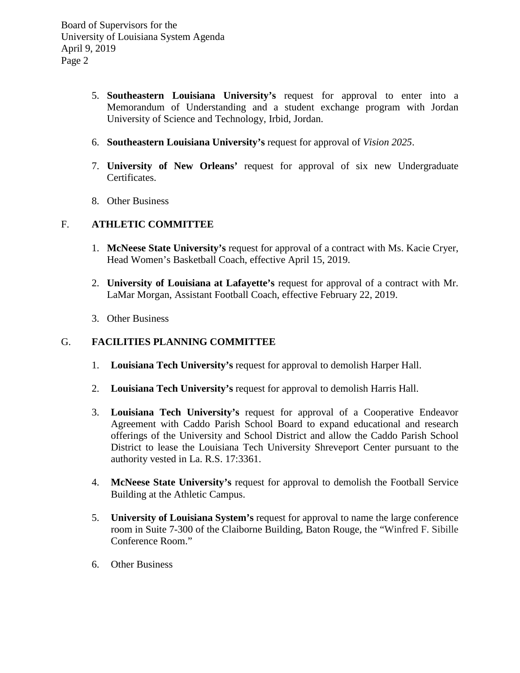- 5. **Southeastern Louisiana University's** request for approval to enter into a Memorandum of Understanding and a student exchange program with Jordan University of Science and Technology, Irbid, Jordan.
- 6. **Southeastern Louisiana University's** request for approval of *Vision 2025*.
- 7. **University of New Orleans'** request for approval of six new Undergraduate Certificates.
- 8. Other Business

#### F. **ATHLETIC COMMITTEE**

- 1. **McNeese State University's** request for approval of a contract with Ms. Kacie Cryer, Head Women's Basketball Coach, effective April 15, 2019.
- 2. **University of Louisiana at Lafayette's** request for approval of a contract with Mr. LaMar Morgan, Assistant Football Coach, effective February 22, 2019.
- 3. Other Business

### G. **FACILITIES PLANNING COMMITTEE**

- 1. **Louisiana Tech University's** request for approval to demolish Harper Hall.
- 2. **Louisiana Tech University's** request for approval to demolish Harris Hall.
- 3. **Louisiana Tech University's** request for approval of a Cooperative Endeavor Agreement with Caddo Parish School Board to expand educational and research offerings of the University and School District and allow the Caddo Parish School District to lease the Louisiana Tech University Shreveport Center pursuant to the authority vested in La. R.S. 17:3361.
- 4. **McNeese State University's** request for approval to demolish the Football Service Building at the Athletic Campus.
- 5. **University of Louisiana System's** request for approval to name the large conference room in Suite 7-300 of the Claiborne Building, Baton Rouge, the "Winfred F. Sibille Conference Room."
- 6. Other Business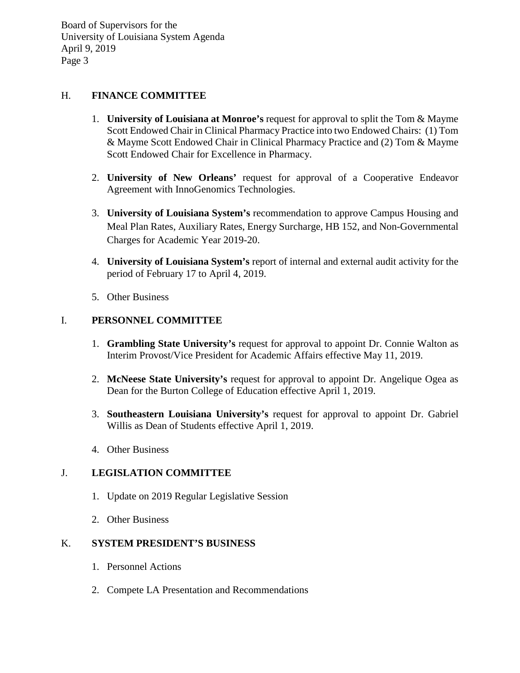Board of Supervisors for the University of Louisiana System Agenda April 9, 2019 Page 3

### H. **FINANCE COMMITTEE**

- 1. **University of Louisiana at Monroe's** request for approval to split the Tom & Mayme Scott Endowed Chair in Clinical Pharmacy Practice into two Endowed Chairs: (1) Tom & Mayme Scott Endowed Chair in Clinical Pharmacy Practice and (2) Tom & Mayme Scott Endowed Chair for Excellence in Pharmacy.
- 2. **University of New Orleans'** request for approval of a Cooperative Endeavor Agreement with InnoGenomics Technologies.
- 3. **University of Louisiana System's** recommendation to approve Campus Housing and Meal Plan Rates, Auxiliary Rates, Energy Surcharge, HB 152, and Non-Governmental Charges for Academic Year 2019-20.
- 4. **University of Louisiana System's** report of internal and external audit activity for the period of February 17 to April 4, 2019.
- 5. Other Business

#### I. **PERSONNEL COMMITTEE**

- 1. **Grambling State University's** request for approval to appoint Dr. Connie Walton as Interim Provost/Vice President for Academic Affairs effective May 11, 2019.
- 2. **McNeese State University's** request for approval to appoint Dr. Angelique Ogea as Dean for the Burton College of Education effective April 1, 2019.
- 3. **Southeastern Louisiana University's** request for approval to appoint Dr. Gabriel Willis as Dean of Students effective April 1, 2019.
- 4. Other Business

# J. **LEGISLATION COMMITTEE**

- 1. Update on 2019 Regular Legislative Session
- 2. Other Business

#### K. **SYSTEM PRESIDENT'S BUSINESS**

- 1. Personnel Actions
- 2. Compete LA Presentation and Recommendations